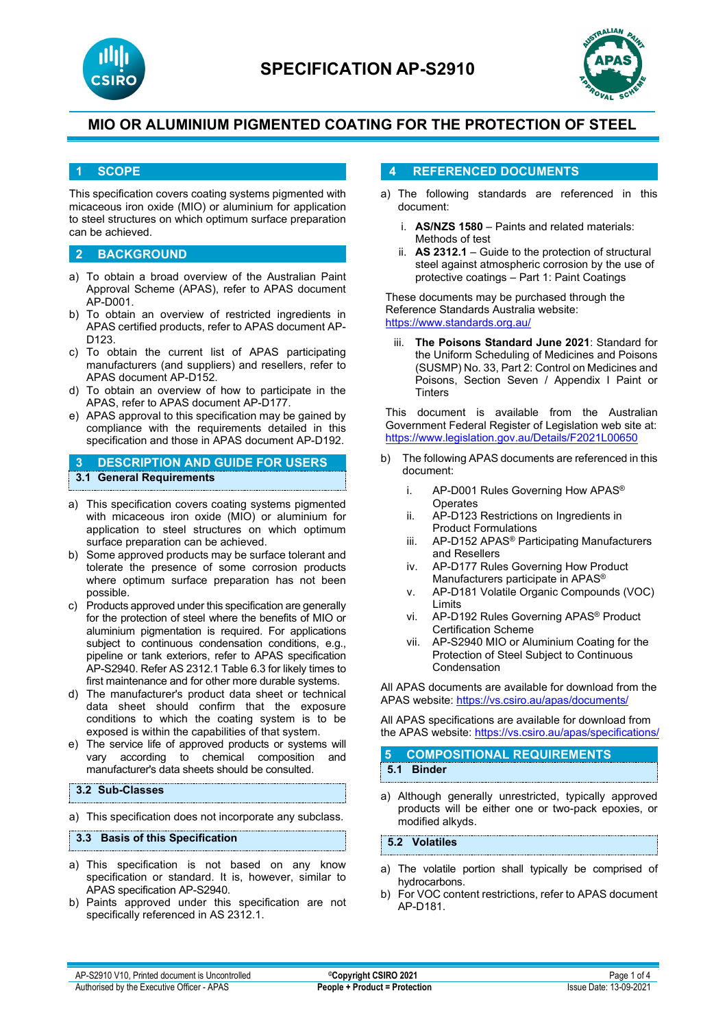



### **1 SCOPE**

This specification covers coating systems pigmented with micaceous iron oxide (MIO) or aluminium for application to steel structures on which optimum surface preparation can be achieved.

### **2 BACKGROUND**

- a) To obtain a broad overview of the Australian Paint Approval Scheme (APAS), refer to APAS document AP-D001.
- b) To obtain an overview of restricted ingredients in APAS certified products, refer to APAS document AP-D123.
- c) To obtain the current list of APAS participating manufacturers (and suppliers) and resellers, refer to APAS document AP-D152.
- d) To obtain an overview of how to participate in the APAS, refer to APAS document AP-D177.
- e) APAS approval to this specification may be gained by compliance with the requirements detailed in this specification and those in APAS document AP-D192.

## **3 DESCRIPTION AND GUIDE FOR USERS 3.1 General Requirements**

- a) This specification covers coating systems pigmented with micaceous iron oxide (MIO) or aluminium for application to steel structures on which optimum surface preparation can be achieved.
- b) Some approved products may be surface tolerant and tolerate the presence of some corrosion products where optimum surface preparation has not been possible.
- c) Products approved under this specification are generally for the protection of steel where the benefits of MIO or aluminium pigmentation is required. For applications subject to continuous condensation conditions, e.g., pipeline or tank exteriors, refer to APAS specification AP-S2940. Refer AS 2312.1 Table 6.3 for likely times to first maintenance and for other more durable systems.
- d) The manufacturer's product data sheet or technical data sheet should confirm that the exposure conditions to which the coating system is to be exposed is within the capabilities of that system.
- e) The service life of approved products or systems will vary according to chemical composition and manufacturer's data sheets should be consulted.

#### **3.2 Sub-Classes**

a) This specification does not incorporate any subclass.

#### **3.3 Basis of this Specification**

- a) This specification is not based on any know specification or standard. It is, however, similar to APAS specification AP-S2940.
- b) Paints approved under this specification are not specifically referenced in AS 2312.1.

### **4 REFERENCED DOCUMENTS**

- a) The following standards are referenced in this document:
	- i. **AS/NZS 1580** Paints and related materials: Methods of test
	- ii. **AS 2312.1** Guide to the protection of structural steel against atmospheric corrosion by the use of protective coatings – Part 1: Paint Coatings

These documents may be purchased through the Reference Standards Australia website: <https://www.standards.org.au/>

iii. **The Poisons Standard June 2021**: Standard for the Uniform Scheduling of Medicines and Poisons (SUSMP) No. 33, Part 2: Control on Medicines and Poisons, Section Seven / Appendix I Paint or **Tinters** 

This document is available from the Australian Government Federal Register of Legislation web site at: <https://www.legislation.gov.au/Details/F2021L00650>

- b) The following APAS documents are referenced in this document:
	- i. AP-D001 Rules Governing How APAS<sup>®</sup>
		- **Operates**
	- ii. AP-D123 Restrictions on Ingredients in Product Formulations
	- iii. AP-D152 APAS® Participating Manufacturers and Resellers
	- iv. AP-D177 Rules Governing How Product Manufacturers participate in APAS®
	- v. AP-D181 Volatile Organic Compounds (VOC) Limits
	- vi. AP-D192 Rules Governing APAS® Product Certification Scheme
	- vii. AP-S2940 MIO or Aluminium Coating for the Protection of Steel Subject to Continuous Condensation

All APAS documents are available for download from the APAS website: <https://vs.csiro.au/apas/documents/>

All APAS specifications are available for download from the APAS website: <https://vs.csiro.au/apas/specifications/>

### **5 COMPOSITIONAL REQUIREMENTS 5.1 Binder**

a) Although generally unrestricted, typically approved products will be either one or two-pack epoxies, or modified alkyds.

**5.2 Volatiles**

- a) The volatile portion shall typically be comprised of hydrocarbons.
- b) For VOC content restrictions, refer to APAS document AP-D181.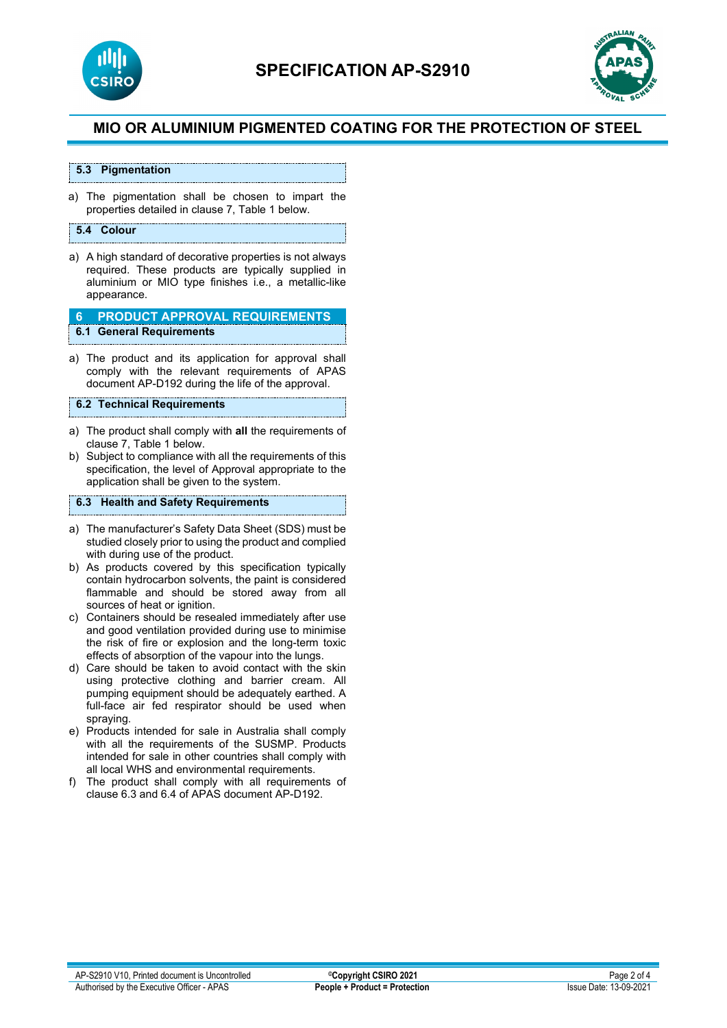



### **5.3 Pigmentation**

a) The pigmentation shall be chosen to impart the properties detailed in clause 7, Table 1 below.

#### **5.4 Colour**

a) A high standard of decorative properties is not always required. These products are typically supplied in aluminium or MIO type finishes i.e., a metallic-like appearance.

**6 PRODUCT APPROVAL REQUIREMENTS 6.1 General Requirements**

a) The product and its application for approval shall comply with the relevant requirements of APAS document AP-D192 during the life of the approval.

#### **6.2 Technical Requirements**

- a) The product shall comply with **all** the requirements of clause 7, Table 1 below.
- b) Subject to compliance with all the requirements of this specification, the level of Approval appropriate to the application shall be given to the system.

### **6.3 Health and Safety Requirements**

- a) The manufacturer's Safety Data Sheet (SDS) must be studied closely prior to using the product and complied with during use of the product.
- b) As products covered by this specification typically contain hydrocarbon solvents, the paint is considered flammable and should be stored away from all sources of heat or ignition.
- c) Containers should be resealed immediately after use and good ventilation provided during use to minimise the risk of fire or explosion and the long-term toxic effects of absorption of the vapour into the lungs.
- d) Care should be taken to avoid contact with the skin using protective clothing and barrier cream. All pumping equipment should be adequately earthed. A full-face air fed respirator should be used when spraying.
- e) Products intended for sale in Australia shall comply with all the requirements of the SUSMP. Products intended for sale in other countries shall comply with all local WHS and environmental requirements.
- f) The product shall comply with all requirements of clause 6.3 and 6.4 of APAS document AP-D192.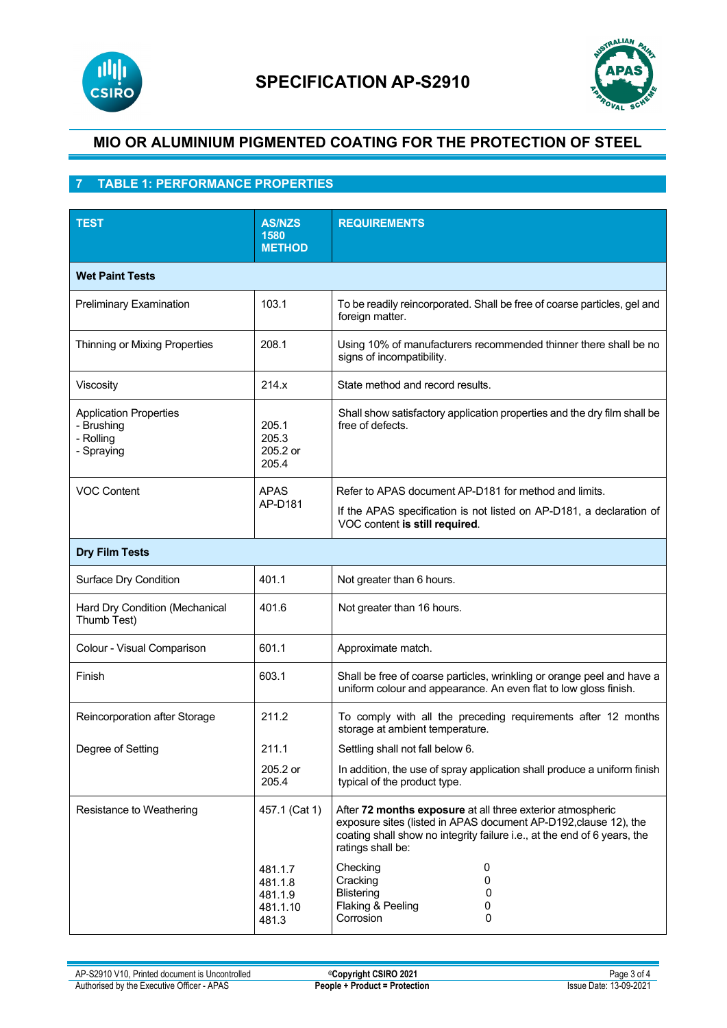



# **7 TABLE 1: PERFORMANCE PROPERTIES**

| <b>TEST</b>                                                            | <b>AS/NZS</b><br>1580<br><b>METHOD</b>             | <b>REQUIREMENTS</b>                                                                                                                                                                                                             |  |  |
|------------------------------------------------------------------------|----------------------------------------------------|---------------------------------------------------------------------------------------------------------------------------------------------------------------------------------------------------------------------------------|--|--|
| <b>Wet Paint Tests</b>                                                 |                                                    |                                                                                                                                                                                                                                 |  |  |
| <b>Preliminary Examination</b>                                         | 103.1                                              | To be readily reincorporated. Shall be free of coarse particles, gel and<br>foreign matter.                                                                                                                                     |  |  |
| Thinning or Mixing Properties                                          | 208.1                                              | Using 10% of manufacturers recommended thinner there shall be no<br>signs of incompatibility.                                                                                                                                   |  |  |
| Viscosity                                                              | 214.x                                              | State method and record results.                                                                                                                                                                                                |  |  |
| <b>Application Properties</b><br>- Brushing<br>- Rolling<br>- Spraying | 205.1<br>205.3<br>205.2 or<br>205.4                | Shall show satisfactory application properties and the dry film shall be<br>free of defects.                                                                                                                                    |  |  |
| <b>VOC Content</b>                                                     | <b>APAS</b><br>AP-D181                             | Refer to APAS document AP-D181 for method and limits.<br>If the APAS specification is not listed on AP-D181, a declaration of<br>VOC content is still required.                                                                 |  |  |
| <b>Dry Film Tests</b>                                                  |                                                    |                                                                                                                                                                                                                                 |  |  |
| Surface Dry Condition                                                  | 401.1                                              | Not greater than 6 hours.                                                                                                                                                                                                       |  |  |
| Hard Dry Condition (Mechanical<br>Thumb Test)                          | 401.6                                              | Not greater than 16 hours.                                                                                                                                                                                                      |  |  |
| Colour - Visual Comparison                                             | 601.1                                              | Approximate match.                                                                                                                                                                                                              |  |  |
| Finish                                                                 | 603.1                                              | Shall be free of coarse particles, wrinkling or orange peel and have a<br>uniform colour and appearance. An even flat to low gloss finish.                                                                                      |  |  |
| Reincorporation after Storage                                          | 211.2                                              | To comply with all the preceding requirements after 12 months<br>storage at ambient temperature.                                                                                                                                |  |  |
| Degree of Setting                                                      | 211.1                                              | Settling shall not fall below 6                                                                                                                                                                                                 |  |  |
|                                                                        | 205.2 or<br>205.4                                  | In addition, the use of spray application shall produce a uniform finish<br>typical of the product type.                                                                                                                        |  |  |
| Resistance to Weathering                                               | 457.1 (Cat 1)                                      | After 72 months exposure at all three exterior atmospheric<br>exposure sites (listed in APAS document AP-D192, clause 12), the<br>coating shall show no integrity failure i.e., at the end of 6 years, the<br>ratings shall be: |  |  |
|                                                                        | 481.1.7<br>481.1.8<br>481.1.9<br>481.1.10<br>481.3 | Checking<br>0<br>Cracking<br>0<br><b>Blistering</b><br>0<br>Flaking & Peeling<br>0<br>Corrosion<br>0                                                                                                                            |  |  |